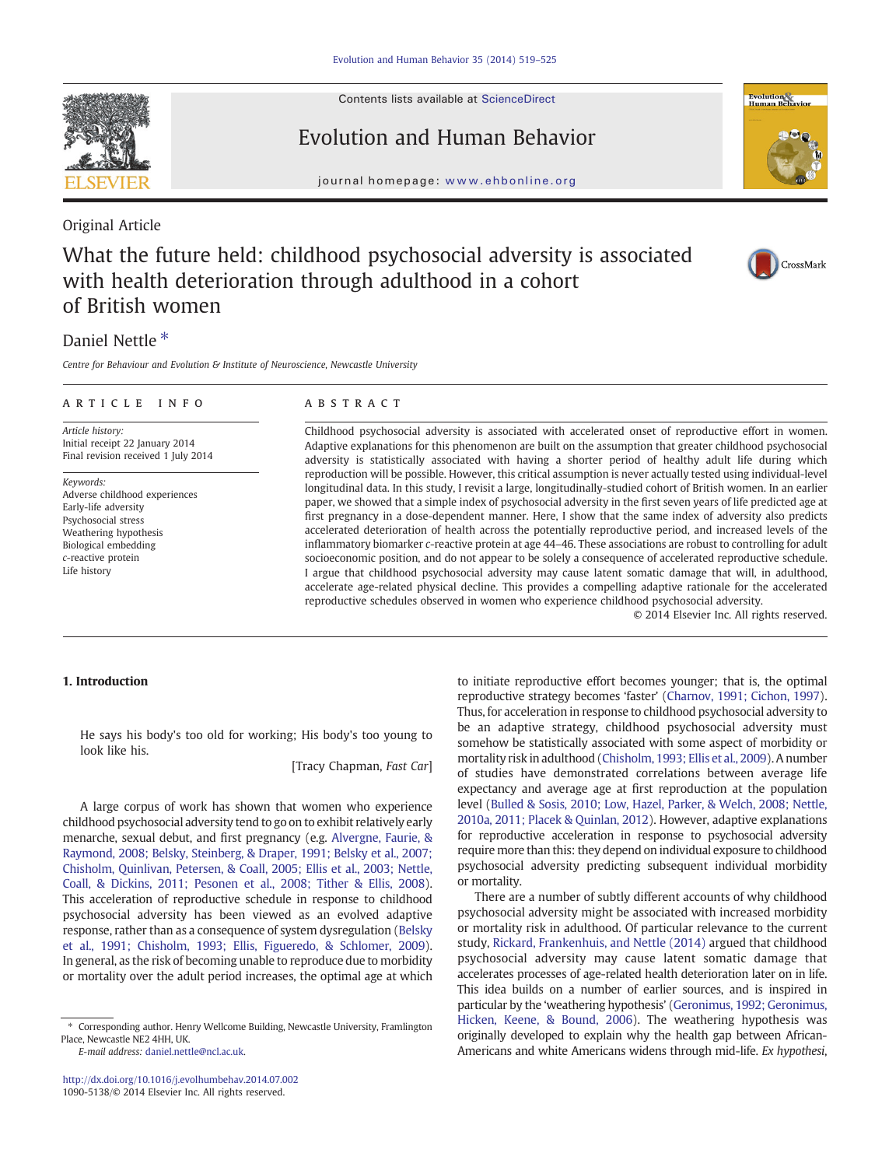Contents lists available at ScienceDirect

# Evolution and Human Behavior

journal homepage: www.ehbonline.org

## Original Article

# What the future held: childhood psychosocial adversity is associated with health deterioration through adulthood in a cohort of British women

## Daniel Nettle<sup>\*</sup>

Centre for Behaviour and Evolution & Institute of Neuroscience, Newcastle University

#### article info abstract

Article history: Initial receipt 22 January 2014 Final revision received 1 July 2014

Keywords: Adverse childhood experiences Early-life adversity Psychosocial stress Weathering hypothesis Biological embedding c-reactive protein Life history

Childhood psychosocial adversity is associated with accelerated onset of reproductive effort in women. Adaptive explanations for this phenomenon are built on the assumption that greater childhood psychosocial adversity is statistically associated with having a shorter period of healthy adult life during which reproduction will be possible. However, this critical assumption is never actually tested using individual-level longitudinal data. In this study, I revisit a large, longitudinally-studied cohort of British women. In an earlier paper, we showed that a simple index of psychosocial adversity in the first seven years of life predicted age at first pregnancy in a dose-dependent manner. Here, I show that the same index of adversity also predicts accelerated deterioration of health across the potentially reproductive period, and increased levels of the inflammatory biomarker c-reactive protein at age 44–46. These associations are robust to controlling for adult socioeconomic position, and do not appear to be solely a consequence of accelerated reproductive schedule. I argue that childhood psychosocial adversity may cause latent somatic damage that will, in adulthood, accelerate age-related physical decline. This provides a compelling adaptive rationale for the accelerated reproductive schedules observed in women who experience childhood psychosocial adversity.

© 2014 Elsevier Inc. All rights reserved.

### 1. Introduction

He says his body's too old for working; His body's too young to look like his.

[Tracy Chapman, Fast Car]

A large corpus of work has shown that women who experience childhood psychosocial adversity tend to go on to exhibit relatively early menarche, sexual debut, and first pregnancy (e.g. [Alvergne, Faurie, &](#page-5-0) [Raymond, 2008; Belsky, Steinberg, & Draper, 1991; Belsky et al., 2007;](#page-5-0) [Chisholm, Quinlivan, Petersen, & Coall, 2005; Ellis et al., 2003; Nettle,](#page-5-0) [Coall, & Dickins, 2011; Pesonen et al., 2008; Tither & Ellis, 2008](#page-5-0)). This acceleration of reproductive schedule in response to childhood psychosocial adversity has been viewed as an evolved adaptive response, rather than as a consequence of system dysregulation ([Belsky](#page-5-0) [et al., 1991; Chisholm, 1993; Ellis, Figueredo, & Schlomer, 2009](#page-5-0)). In general, as the risk of becoming unable to reproduce due to morbidity or mortality over the adult period increases, the optimal age at which

E-mail address: [daniel.nettle@ncl.ac.uk](mailto:daniel.nettle@ncl.ac.uk).

to initiate reproductive effort becomes younger; that is, the optimal reproductive strategy becomes 'faster' ([Charnov, 1991; Cichon, 1997](#page-5-0)). Thus, for acceleration in response to childhood psychosocial adversity to be an adaptive strategy, childhood psychosocial adversity must somehow be statistically associated with some aspect of morbidity or mortality risk in adulthood ([Chisholm, 1993; Ellis et al., 2009](#page-5-0)). A number of studies have demonstrated correlations between average life expectancy and average age at first reproduction at the population level [\(Bulled & Sosis, 2010; Low, Hazel, Parker, & Welch, 2008; Nettle,](#page-5-0) [2010a, 2011; Placek & Quinlan, 2012](#page-5-0)). However, adaptive explanations for reproductive acceleration in response to psychosocial adversity require more than this: they depend on individual exposure to childhood psychosocial adversity predicting subsequent individual morbidity or mortality.

There are a number of subtly different accounts of why childhood psychosocial adversity might be associated with increased morbidity or mortality risk in adulthood. Of particular relevance to the current study, [Rickard, Frankenhuis, and Nettle \(2014\)](#page-6-0) argued that childhood psychosocial adversity may cause latent somatic damage that accelerates processes of age-related health deterioration later on in life. This idea builds on a number of earlier sources, and is inspired in particular by the 'weathering hypothesis' [\(Geronimus, 1992; Geronimus,](#page-6-0) [Hicken, Keene, & Bound, 2006](#page-6-0)). The weathering hypothesis was originally developed to explain why the health gap between African-Americans and white Americans widens through mid-life. Ex hypothesi,

<span id="page-0-0"></span>





<sup>⁎</sup> Corresponding author. Henry Wellcome Building, Newcastle University, Framlington Place, Newcastle NE2 4HH, UK.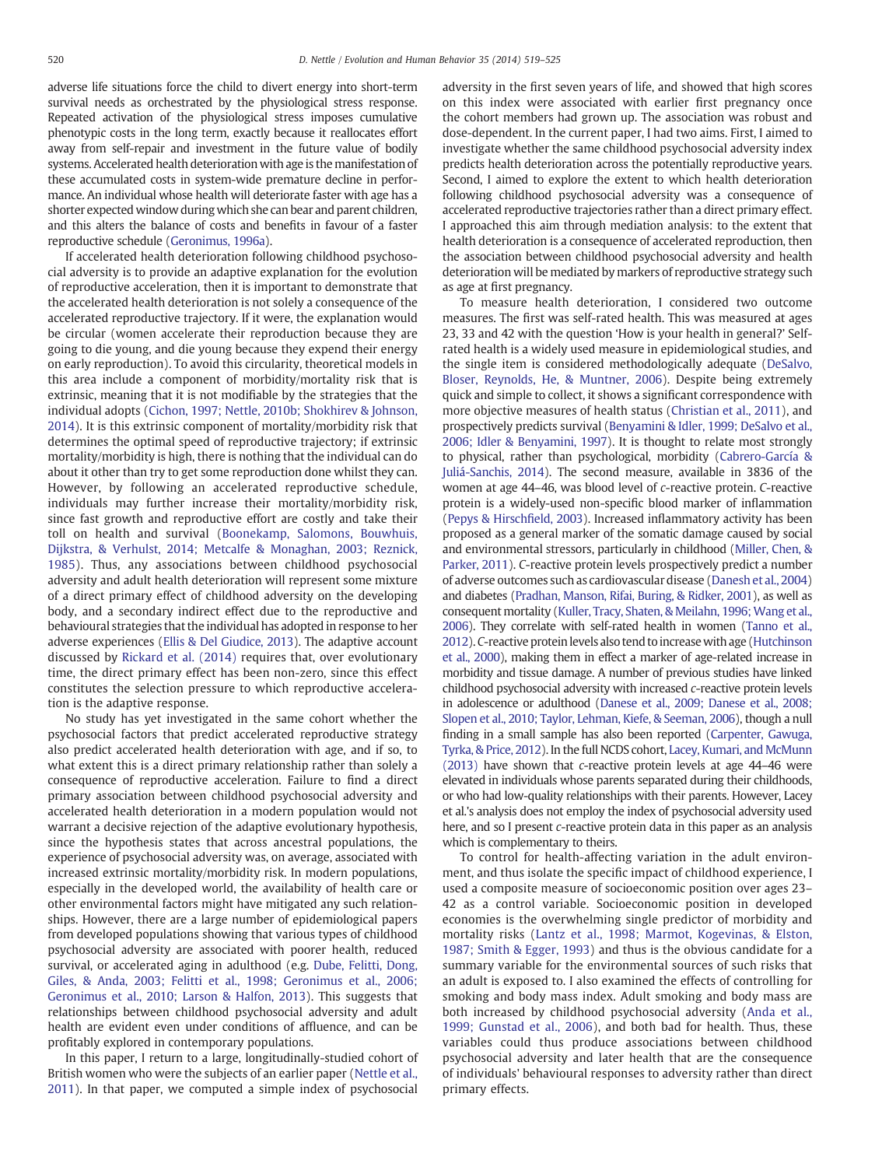adverse life situations force the child to divert energy into short-term survival needs as orchestrated by the physiological stress response. Repeated activation of the physiological stress imposes cumulative phenotypic costs in the long term, exactly because it reallocates effort away from self-repair and investment in the future value of bodily systems. Accelerated health deterioration with age is the manifestation of these accumulated costs in system-wide premature decline in performance. An individual whose health will deteriorate faster with age has a shorter expected window during which she can bear and parent children, and this alters the balance of costs and benefits in favour of a faster reproductive schedule ([Geronimus, 1996a\)](#page-6-0).

If accelerated health deterioration following childhood psychosocial adversity is to provide an adaptive explanation for the evolution of reproductive acceleration, then it is important to demonstrate that the accelerated health deterioration is not solely a consequence of the accelerated reproductive trajectory. If it were, the explanation would be circular (women accelerate their reproduction because they are going to die young, and die young because they expend their energy on early reproduction). To avoid this circularity, theoretical models in this area include a component of morbidity/mortality risk that is extrinsic, meaning that it is not modifiable by the strategies that the individual adopts [\(Cichon, 1997; Nettle, 2010b; Shokhirev & Johnson,](#page-6-0) [2014\)](#page-6-0). It is this extrinsic component of mortality/morbidity risk that determines the optimal speed of reproductive trajectory; if extrinsic mortality/morbidity is high, there is nothing that the individual can do about it other than try to get some reproduction done whilst they can. However, by following an accelerated reproductive schedule, individuals may further increase their mortality/morbidity risk, since fast growth and reproductive effort are costly and take their toll on health and survival ([Boonekamp, Salomons, Bouwhuis,](#page-5-0) [Dijkstra, & Verhulst, 2014; Metcalfe & Monaghan, 2003; Reznick,](#page-5-0) [1985](#page-5-0)). Thus, any associations between childhood psychosocial adversity and adult health deterioration will represent some mixture of a direct primary effect of childhood adversity on the developing body, and a secondary indirect effect due to the reproductive and behavioural strategies that the individual has adopted in response to her adverse experiences ([Ellis & Del Giudice, 2013](#page-6-0)). The adaptive account discussed by [Rickard et al. \(2014\)](#page-6-0) requires that, over evolutionary time, the direct primary effect has been non-zero, since this effect constitutes the selection pressure to which reproductive acceleration is the adaptive response.

No study has yet investigated in the same cohort whether the psychosocial factors that predict accelerated reproductive strategy also predict accelerated health deterioration with age, and if so, to what extent this is a direct primary relationship rather than solely a consequence of reproductive acceleration. Failure to find a direct primary association between childhood psychosocial adversity and accelerated health deterioration in a modern population would not warrant a decisive rejection of the adaptive evolutionary hypothesis, since the hypothesis states that across ancestral populations, the experience of psychosocial adversity was, on average, associated with increased extrinsic mortality/morbidity risk. In modern populations, especially in the developed world, the availability of health care or other environmental factors might have mitigated any such relationships. However, there are a large number of epidemiological papers from developed populations showing that various types of childhood psychosocial adversity are associated with poorer health, reduced survival, or accelerated aging in adulthood (e.g. [Dube, Felitti, Dong,](#page-6-0) [Giles, & Anda, 2003; Felitti et al., 1998; Geronimus et al., 2006;](#page-6-0) [Geronimus et al., 2010; Larson & Halfon, 2013\)](#page-6-0). This suggests that relationships between childhood psychosocial adversity and adult health are evident even under conditions of affluence, and can be profitably explored in contemporary populations.

In this paper, I return to a large, longitudinally-studied cohort of British women who were the subjects of an earlier paper ([Nettle et al.,](#page-6-0) [2011\)](#page-6-0). In that paper, we computed a simple index of psychosocial adversity in the first seven years of life, and showed that high scores on this index were associated with earlier first pregnancy once the cohort members had grown up. The association was robust and dose-dependent. In the current paper, I had two aims. First, I aimed to investigate whether the same childhood psychosocial adversity index predicts health deterioration across the potentially reproductive years. Second, I aimed to explore the extent to which health deterioration following childhood psychosocial adversity was a consequence of accelerated reproductive trajectories rather than a direct primary effect. I approached this aim through mediation analysis: to the extent that health deterioration is a consequence of accelerated reproduction, then the association between childhood psychosocial adversity and health deterioration will be mediated by markers of reproductive strategy such as age at first pregnancy.

To measure health deterioration, I considered two outcome measures. The first was self-rated health. This was measured at ages 23, 33 and 42 with the question 'How is your health in general?' Selfrated health is a widely used measure in epidemiological studies, and the single item is considered methodologically adequate ([DeSalvo,](#page-6-0) [Bloser, Reynolds, He, & Muntner, 2006\)](#page-6-0). Despite being extremely quick and simple to collect, it shows a significant correspondence with more objective measures of health status ([Christian et al., 2011](#page-5-0)), and prospectively predicts survival ([Benyamini & Idler, 1999; DeSalvo et al.,](#page-5-0) [2006; Idler & Benyamini, 1997](#page-5-0)). It is thought to relate most strongly to physical, rather than psychological, morbidity ([Cabrero-García &](#page-5-0) [Juliá-Sanchis, 2014](#page-5-0)). The second measure, available in 3836 of the women at age 44–46, was blood level of c-reactive protein. C-reactive protein is a widely-used non-specific blood marker of inflammation ([Pepys & Hirsch](#page-6-0)field, 2003). Increased inflammatory activity has been proposed as a general marker of the somatic damage caused by social and environmental stressors, particularly in childhood ([Miller, Chen, &](#page-6-0) [Parker, 2011](#page-6-0)). C-reactive protein levels prospectively predict a number of adverse outcomes such as cardiovascular disease [\(Danesh et al., 2004\)](#page-6-0) and diabetes [\(Pradhan, Manson, Rifai, Buring, & Ridker, 2001\)](#page-6-0), as well as consequent mortality ([Kuller, Tracy, Shaten, & Meilahn, 1996; Wang et al.,](#page-6-0) [2006\)](#page-6-0). They correlate with self-rated health in women ([Tanno et al.,](#page-6-0) [2012\)](#page-6-0). C-reactive proteinlevels also tend toincrease with age [\(Hutchinson](#page-6-0) [et al., 2000](#page-6-0)), making them in effect a marker of age-related increase in morbidity and tissue damage. A number of previous studies have linked childhood psychosocial adversity with increased c-reactive protein levels in adolescence or adulthood [\(Danese et al., 2009; Danese et al., 2008;](#page-6-0) [Slopen et al., 2010; Taylor, Lehman, Kiefe, & Seeman, 2006\)](#page-6-0), though a null finding in a small sample has also been reported ([Carpenter, Gawuga,](#page-5-0) [Tyrka, & Price, 2012](#page-5-0)). In the full NCDS cohort, [Lacey, Kumari, and McMunn](#page-6-0) [\(2013\)](#page-6-0) have shown that c-reactive protein levels at age 44–46 were elevated in individuals whose parents separated during their childhoods, or who had low-quality relationships with their parents. However, Lacey et al.'s analysis does not employ the index of psychosocial adversity used here, and so I present *c*-reactive protein data in this paper as an analysis which is complementary to theirs.

To control for health-affecting variation in the adult environment, and thus isolate the specific impact of childhood experience, I used a composite measure of socioeconomic position over ages 23– 42 as a control variable. Socioeconomic position in developed economies is the overwhelming single predictor of morbidity and mortality risks ([Lantz et al., 1998; Marmot, Kogevinas, & Elston,](#page-6-0) [1987; Smith & Egger, 1993](#page-6-0)) and thus is the obvious candidate for a summary variable for the environmental sources of such risks that an adult is exposed to. I also examined the effects of controlling for smoking and body mass index. Adult smoking and body mass are both increased by childhood psychosocial adversity [\(Anda et al.,](#page-5-0) [1999; Gunstad et al., 2006](#page-5-0)), and both bad for health. Thus, these variables could thus produce associations between childhood psychosocial adversity and later health that are the consequence of individuals' behavioural responses to adversity rather than direct primary effects.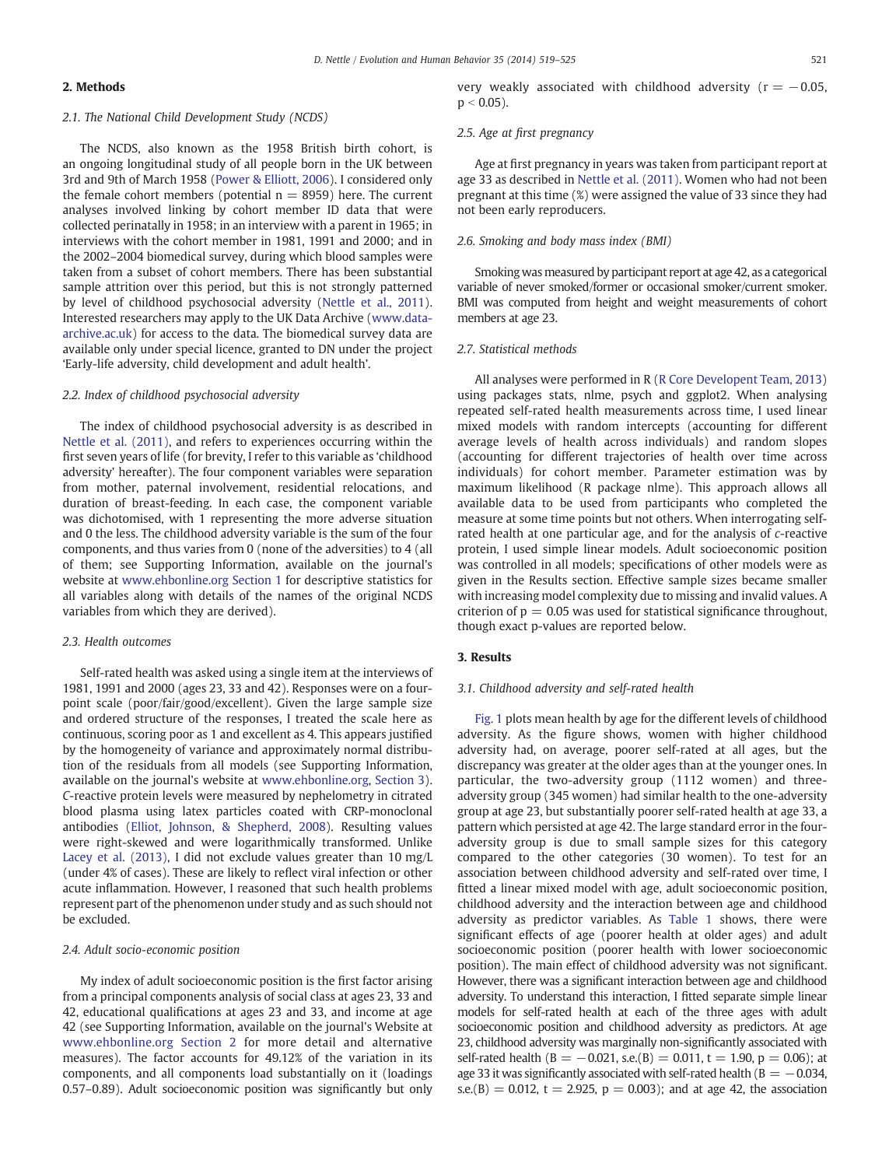#### 2. Methods

#### 2.1. The National Child Development Study (NCDS)

The NCDS, also known as the 1958 British birth cohort, is an ongoing longitudinal study of all people born in the UK between 3rd and 9th of March 1958 [\(Power & Elliott, 2006](#page-6-0)). I considered only the female cohort members (potential  $n = 8959$ ) here. The current analyses involved linking by cohort member ID data that were collected perinatally in 1958; in an interview with a parent in 1965; in interviews with the cohort member in 1981, 1991 and 2000; and in the 2002–2004 biomedical survey, during which blood samples were taken from a subset of cohort members. There has been substantial sample attrition over this period, but this is not strongly patterned by level of childhood psychosocial adversity ([Nettle et al., 2011](#page-6-0)). Interested researchers may apply to the UK Data Archive [\(www.data](http://www.data-archive.ac.uk)[archive.ac.uk\)](http://www.data-archive.ac.uk) for access to the data. The biomedical survey data are available only under special licence, granted to DN under the project 'Early-life adversity, child development and adult health'.

#### 2.2. Index of childhood psychosocial adversity

The index of childhood psychosocial adversity is as described in [Nettle et al. \(2011\),](#page-6-0) and refers to experiences occurring within the first seven years of life (for brevity, I refer to this variable as 'childhood adversity' hereafter). The four component variables were separation from mother, paternal involvement, residential relocations, and duration of breast-feeding. In each case, the component variable was dichotomised, with 1 representing the more adverse situation and 0 the less. The childhood adversity variable is the sum of the four components, and thus varies from 0 (none of the adversities) to 4 (all of them; see Supporting Information, available on the journal's website at [www.ehbonline.org](http://www.ehbonline.org) [Section 1](#page-0-0) for descriptive statistics for all variables along with details of the names of the original NCDS variables from which they are derived).

#### 2.3. Health outcomes

Self-rated health was asked using a single item at the interviews of 1981, 1991 and 2000 (ages 23, 33 and 42). Responses were on a fourpoint scale (poor/fair/good/excellent). Given the large sample size and ordered structure of the responses, I treated the scale here as continuous, scoring poor as 1 and excellent as 4. This appears justified by the homogeneity of variance and approximately normal distribution of the residuals from all models (see Supporting Information, available on the journal's website at [www.ehbonline.org](http://www.ehbonline.org), Section 3). C-reactive protein levels were measured by nephelometry in citrated blood plasma using latex particles coated with CRP-monoclonal antibodies ([Elliot, Johnson, & Shepherd, 2008](#page-6-0)). Resulting values were right-skewed and were logarithmically transformed. Unlike [Lacey et al. \(2013\),](#page-6-0) I did not exclude values greater than 10 mg/L (under 4% of cases). These are likely to reflect viral infection or other acute inflammation. However, I reasoned that such health problems represent part of the phenomenon under study and as such should not be excluded.

#### 2.4. Adult socio-economic position

My index of adult socioeconomic position is the first factor arising from a principal components analysis of social class at ages 23, 33 and 42, educational qualifications at ages 23 and 33, and income at age 42 (see Supporting Information, available on the journal's Website at [www.ehbonline.org](http://www.ehbonline.org) Section 2 for more detail and alternative measures). The factor accounts for 49.12% of the variation in its components, and all components load substantially on it (loadings 0.57–0.89). Adult socioeconomic position was significantly but only

#### 2.5. Age at first pregnancy

Age at first pregnancy in years was taken from participant report at age 33 as described in [Nettle et al. \(2011\).](#page-6-0) Women who had not been pregnant at this time (%) were assigned the value of 33 since they had not been early reproducers.

#### 2.6. Smoking and body mass index (BMI)

Smoking was measured by participant report at age 42, as a categorical variable of never smoked/former or occasional smoker/current smoker. BMI was computed from height and weight measurements of cohort members at age 23.

#### 2.7. Statistical methods

All analyses were performed in R [\(R Core Developent Team, 2013](#page-6-0)) using packages stats, nlme, psych and ggplot2. When analysing repeated self-rated health measurements across time, I used linear mixed models with random intercepts (accounting for different average levels of health across individuals) and random slopes (accounting for different trajectories of health over time across individuals) for cohort member. Parameter estimation was by maximum likelihood (R package nlme). This approach allows all available data to be used from participants who completed the measure at some time points but not others. When interrogating selfrated health at one particular age, and for the analysis of c-reactive protein, I used simple linear models. Adult socioeconomic position was controlled in all models; specifications of other models were as given in the Results section. Effective sample sizes became smaller with increasing model complexity due to missing and invalid values. A criterion of  $p = 0.05$  was used for statistical significance throughout, though exact p-values are reported below.

#### 3. Results

#### 3.1. Childhood adversity and self-rated health

[Fig. 1](#page-3-0) plots mean health by age for the different levels of childhood adversity. As the figure shows, women with higher childhood adversity had, on average, poorer self-rated at all ages, but the discrepancy was greater at the older ages than at the younger ones. In particular, the two-adversity group (1112 women) and threeadversity group (345 women) had similar health to the one-adversity group at age 23, but substantially poorer self-rated health at age 33, a pattern which persisted at age 42. The large standard error in the fouradversity group is due to small sample sizes for this category compared to the other categories (30 women). To test for an association between childhood adversity and self-rated over time, I fitted a linear mixed model with age, adult socioeconomic position, childhood adversity and the interaction between age and childhood adversity as predictor variables. As [Table 1](#page-3-0) shows, there were significant effects of age (poorer health at older ages) and adult socioeconomic position (poorer health with lower socioeconomic position). The main effect of childhood adversity was not significant. However, there was a significant interaction between age and childhood adversity. To understand this interaction, I fitted separate simple linear models for self-rated health at each of the three ages with adult socioeconomic position and childhood adversity as predictors. At age 23, childhood adversity was marginally non-significantly associated with self-rated health ( $B = -0.021$ , s.e.(B) = 0.011, t = 1.90, p = 0.06); at age 33 it was significantly associated with self-rated health ( $B = -0.034$ , s.e.(B) = 0.012, t = 2.925, p = 0.003); and at age 42, the association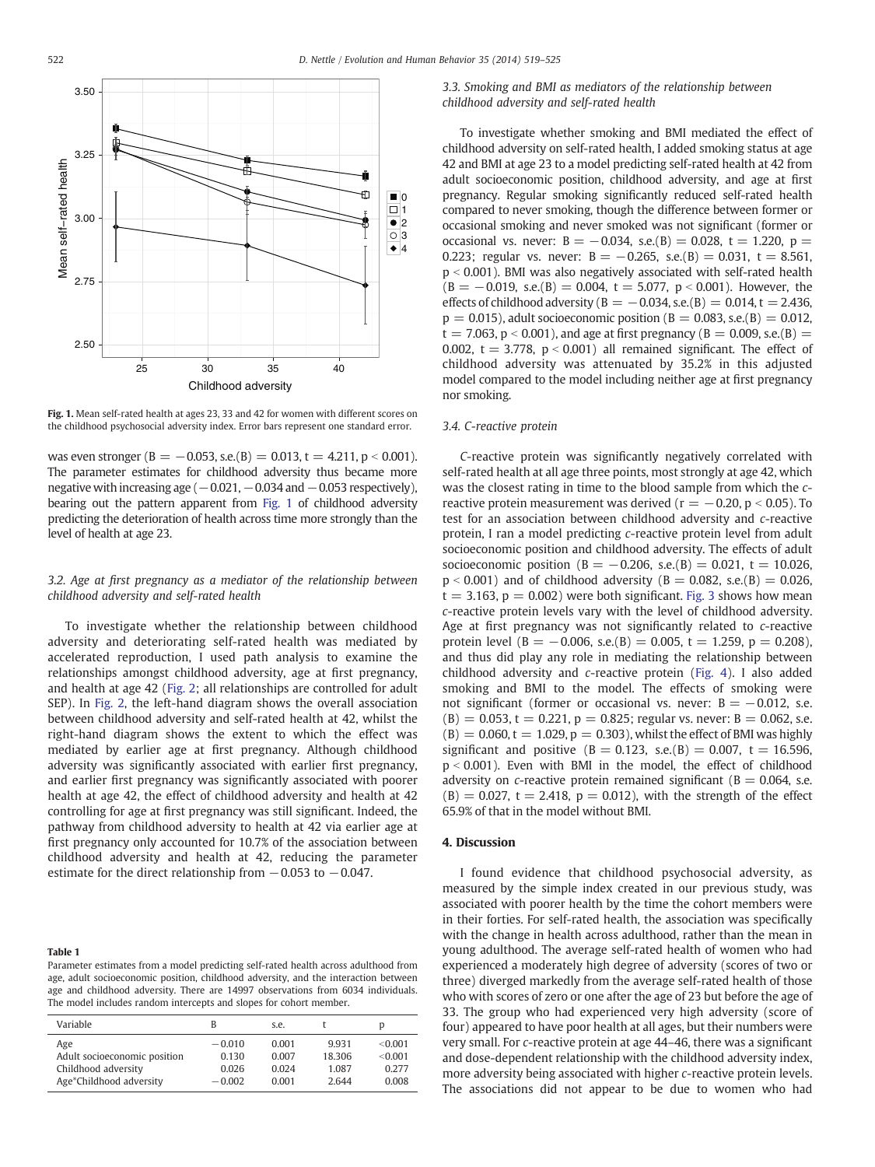<span id="page-3-0"></span>

Fig. 1. Mean self-rated health at ages 23, 33 and 42 for women with different scores on the childhood psychosocial adversity index. Error bars represent one standard error.

was even stronger (B =  $-0.053$ , s.e.(B) = 0.013, t = 4.211, p < 0.001). The parameter estimates for childhood adversity thus became more negative with increasing age  $(-0.021, -0.034$  and  $-0.053$  respectively), bearing out the pattern apparent from Fig. 1 of childhood adversity predicting the deterioration of health across time more strongly than the level of health at age 23.

#### 3.2. Age at first pregnancy as a mediator of the relationship between childhood adversity and self-rated health

To investigate whether the relationship between childhood adversity and deteriorating self-rated health was mediated by accelerated reproduction, I used path analysis to examine the relationships amongst childhood adversity, age at first pregnancy, and health at age 42 [\(Fig. 2;](#page-4-0) all relationships are controlled for adult SEP). In [Fig. 2](#page-4-0), the left-hand diagram shows the overall association between childhood adversity and self-rated health at 42, whilst the right-hand diagram shows the extent to which the effect was mediated by earlier age at first pregnancy. Although childhood adversity was significantly associated with earlier first pregnancy, and earlier first pregnancy was significantly associated with poorer health at age 42, the effect of childhood adversity and health at 42 controlling for age at first pregnancy was still significant. Indeed, the pathway from childhood adversity to health at 42 via earlier age at first pregnancy only accounted for 10.7% of the association between childhood adversity and health at 42, reducing the parameter estimate for the direct relationship from  $-0.053$  to  $-0.047$ .

#### Table 1

Parameter estimates from a model predicting self-rated health across adulthood from age, adult socioeconomic position, childhood adversity, and the interaction between age and childhood adversity. There are 14997 observations from 6034 individuals. The model includes random intercepts and slopes for cohort member.

| Variable                     |          | s.e.  |        | D       |
|------------------------------|----------|-------|--------|---------|
| Age                          | $-0.010$ | 0.001 | 9931   | < 0.001 |
| Adult socioeconomic position | 0.130    | 0.007 | 18.306 | < 0.001 |
| Childhood adversity          | 0.026    | 0.024 | 1.087  | 0.277   |
| Age*Childhood adversity      | $-0.002$ | 0.001 | 2.644  | 0.008   |

#### 3.3. Smoking and BMI as mediators of the relationship between childhood adversity and self-rated health

To investigate whether smoking and BMI mediated the effect of childhood adversity on self-rated health, I added smoking status at age 42 and BMI at age 23 to a model predicting self-rated health at 42 from adult socioeconomic position, childhood adversity, and age at first pregnancy. Regular smoking significantly reduced self-rated health compared to never smoking, though the difference between former or occasional smoking and never smoked was not significant (former or occasional vs. never:  $B = -0.034$ , s.e.(B) = 0.028, t = 1.220, p = 0.223; regular vs. never:  $B = -0.265$ , s.e.(B) = 0.031, t = 8.561,  $p < 0.001$ ). BMI was also negatively associated with self-rated health  $(B = -0.019, s.e.(B) = 0.004, t = 5.077, p < 0.001$ ). However, the effects of childhood adversity ( $B = -0.034$ , s.e.( $B$ ) = 0.014, t = 2.436,  $p = 0.015$ ), adult socioeconomic position (B = 0.083, s.e.(B) = 0.012,  $t = 7.063$ ,  $p < 0.001$ ), and age at first pregnancy (B = 0.009, s.e.(B) = 0.002, t = 3.778,  $p < 0.001$ ) all remained significant. The effect of childhood adversity was attenuated by 35.2% in this adjusted model compared to the model including neither age at first pregnancy nor smoking.

#### 3.4. C-reactive protein

C-reactive protein was significantly negatively correlated with self-rated health at all age three points, most strongly at age 42, which was the closest rating in time to the blood sample from which the creactive protein measurement was derived ( $r = -0.20$ ,  $p < 0.05$ ). To test for an association between childhood adversity and c-reactive protein, I ran a model predicting c-reactive protein level from adult socioeconomic position and childhood adversity. The effects of adult socioeconomic position (B =  $-0.206$ , s.e.(B) = 0.021, t = 10.026,  $p < 0.001$ ) and of childhood adversity (B = 0.082, s.e.(B) = 0.026,  $t = 3.163$ ,  $p = 0.002$ ) were both significant. [Fig. 3](#page-4-0) shows how mean c-reactive protein levels vary with the level of childhood adversity. Age at first pregnancy was not significantly related to c-reactive protein level (B =  $-0.006$ , s.e.(B) = 0.005, t = 1.259, p = 0.208), and thus did play any role in mediating the relationship between childhood adversity and c-reactive protein [\(Fig. 4\)](#page-5-0). I also added smoking and BMI to the model. The effects of smoking were not significant (former or occasional vs. never:  $B = -0.012$ , s.e.  $(B) = 0.053$ , t = 0.221, p = 0.825; regular vs. never: B = 0.062, s.e.  $(B) = 0.060$ , t = 1.029, p = 0.303), whilst the effect of BMI was highly significant and positive ( $B = 0.123$ , s.e.( $B = 0.007$ , t = 16.596,  $p < 0.001$ ). Even with BMI in the model, the effect of childhood adversity on c-reactive protein remained significant ( $B = 0.064$ , s.e.  $(B) = 0.027$ , t = 2.418, p = 0.012), with the strength of the effect 65.9% of that in the model without BMI.

#### 4. Discussion

I found evidence that childhood psychosocial adversity, as measured by the simple index created in our previous study, was associated with poorer health by the time the cohort members were in their forties. For self-rated health, the association was specifically with the change in health across adulthood, rather than the mean in young adulthood. The average self-rated health of women who had experienced a moderately high degree of adversity (scores of two or three) diverged markedly from the average self-rated health of those who with scores of zero or one after the age of 23 but before the age of 33. The group who had experienced very high adversity (score of four) appeared to have poor health at all ages, but their numbers were very small. For c-reactive protein at age 44–46, there was a significant and dose-dependent relationship with the childhood adversity index, more adversity being associated with higher c-reactive protein levels. The associations did not appear to be due to women who had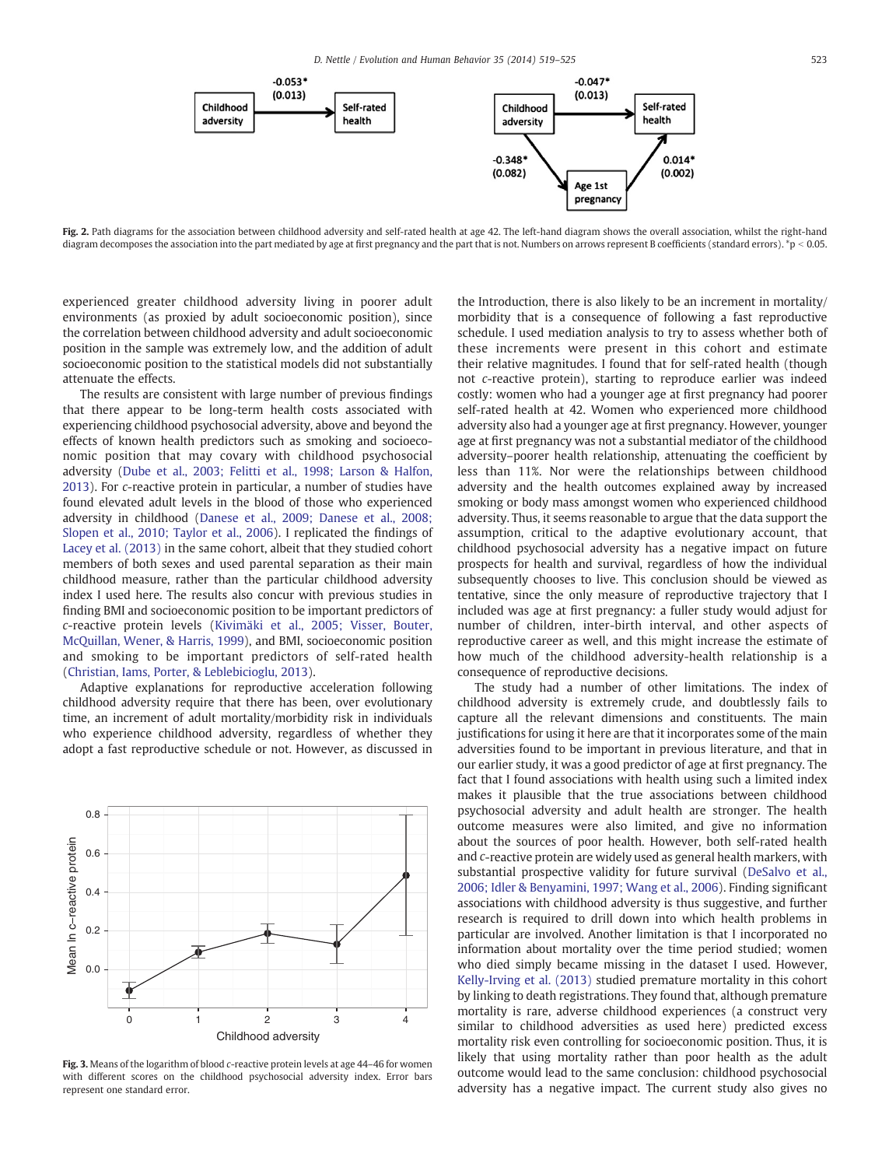<span id="page-4-0"></span>

Fig. 2. Path diagrams for the association between childhood adversity and self-rated health at age 42. The left-hand diagram shows the overall association, whilst the right-hand diagram decomposes the association into the part mediated by age at first pregnancy and the part that is not. Numbers on arrows represent B coefficients (standard errors). \*p < 0.05.

experienced greater childhood adversity living in poorer adult environments (as proxied by adult socioeconomic position), since the correlation between childhood adversity and adult socioeconomic position in the sample was extremely low, and the addition of adult socioeconomic position to the statistical models did not substantially attenuate the effects.

The results are consistent with large number of previous findings that there appear to be long-term health costs associated with experiencing childhood psychosocial adversity, above and beyond the effects of known health predictors such as smoking and socioeconomic position that may covary with childhood psychosocial adversity [\(Dube et al., 2003; Felitti et al., 1998; Larson & Halfon,](#page-6-0) [2013\)](#page-6-0). For c-reactive protein in particular, a number of studies have found elevated adult levels in the blood of those who experienced adversity in childhood ([Danese et al., 2009; Danese et al., 2008;](#page-6-0) [Slopen et al., 2010; Taylor et al., 2006](#page-6-0)). I replicated the findings of [Lacey et al. \(2013\)](#page-6-0) in the same cohort, albeit that they studied cohort members of both sexes and used parental separation as their main childhood measure, rather than the particular childhood adversity index I used here. The results also concur with previous studies in finding BMI and socioeconomic position to be important predictors of c-reactive protein levels ([Kivimäki et al., 2005; Visser, Bouter,](#page-6-0) [McQuillan, Wener, & Harris, 1999\)](#page-6-0), and BMI, socioeconomic position and smoking to be important predictors of self-rated health [\(Christian, Iams, Porter, & Leblebicioglu, 2013](#page-5-0)).

Adaptive explanations for reproductive acceleration following childhood adversity require that there has been, over evolutionary time, an increment of adult mortality/morbidity risk in individuals who experience childhood adversity, regardless of whether they adopt a fast reproductive schedule or not. However, as discussed in



Fig. 3. Means of the logarithm of blood c-reactive protein levels at age 44-46 for women with different scores on the childhood psychosocial adversity index. Error bars represent one standard error.

the Introduction, there is also likely to be an increment in mortality/ morbidity that is a consequence of following a fast reproductive schedule. I used mediation analysis to try to assess whether both of these increments were present in this cohort and estimate their relative magnitudes. I found that for self-rated health (though not c-reactive protein), starting to reproduce earlier was indeed costly: women who had a younger age at first pregnancy had poorer self-rated health at 42. Women who experienced more childhood adversity also had a younger age at first pregnancy. However, younger age at first pregnancy was not a substantial mediator of the childhood adversity–poorer health relationship, attenuating the coefficient by less than 11%. Nor were the relationships between childhood adversity and the health outcomes explained away by increased smoking or body mass amongst women who experienced childhood adversity. Thus, it seems reasonable to argue that the data support the assumption, critical to the adaptive evolutionary account, that childhood psychosocial adversity has a negative impact on future prospects for health and survival, regardless of how the individual subsequently chooses to live. This conclusion should be viewed as tentative, since the only measure of reproductive trajectory that I included was age at first pregnancy: a fuller study would adjust for number of children, inter-birth interval, and other aspects of reproductive career as well, and this might increase the estimate of how much of the childhood adversity-health relationship is a consequence of reproductive decisions.

The study had a number of other limitations. The index of childhood adversity is extremely crude, and doubtlessly fails to capture all the relevant dimensions and constituents. The main justifications for using it here are that it incorporates some of the main adversities found to be important in previous literature, and that in our earlier study, it was a good predictor of age at first pregnancy. The fact that I found associations with health using such a limited index makes it plausible that the true associations between childhood psychosocial adversity and adult health are stronger. The health outcome measures were also limited, and give no information about the sources of poor health. However, both self-rated health and c-reactive protein are widely used as general health markers, with substantial prospective validity for future survival ([DeSalvo et al.,](#page-6-0) [2006; Idler & Benyamini, 1997; Wang et al., 2006\)](#page-6-0). Finding significant associations with childhood adversity is thus suggestive, and further research is required to drill down into which health problems in particular are involved. Another limitation is that I incorporated no information about mortality over the time period studied; women who died simply became missing in the dataset I used. However, [Kelly-Irving et al. \(2013\)](#page-6-0) studied premature mortality in this cohort by linking to death registrations. They found that, although premature mortality is rare, adverse childhood experiences (a construct very similar to childhood adversities as used here) predicted excess mortality risk even controlling for socioeconomic position. Thus, it is likely that using mortality rather than poor health as the adult outcome would lead to the same conclusion: childhood psychosocial adversity has a negative impact. The current study also gives no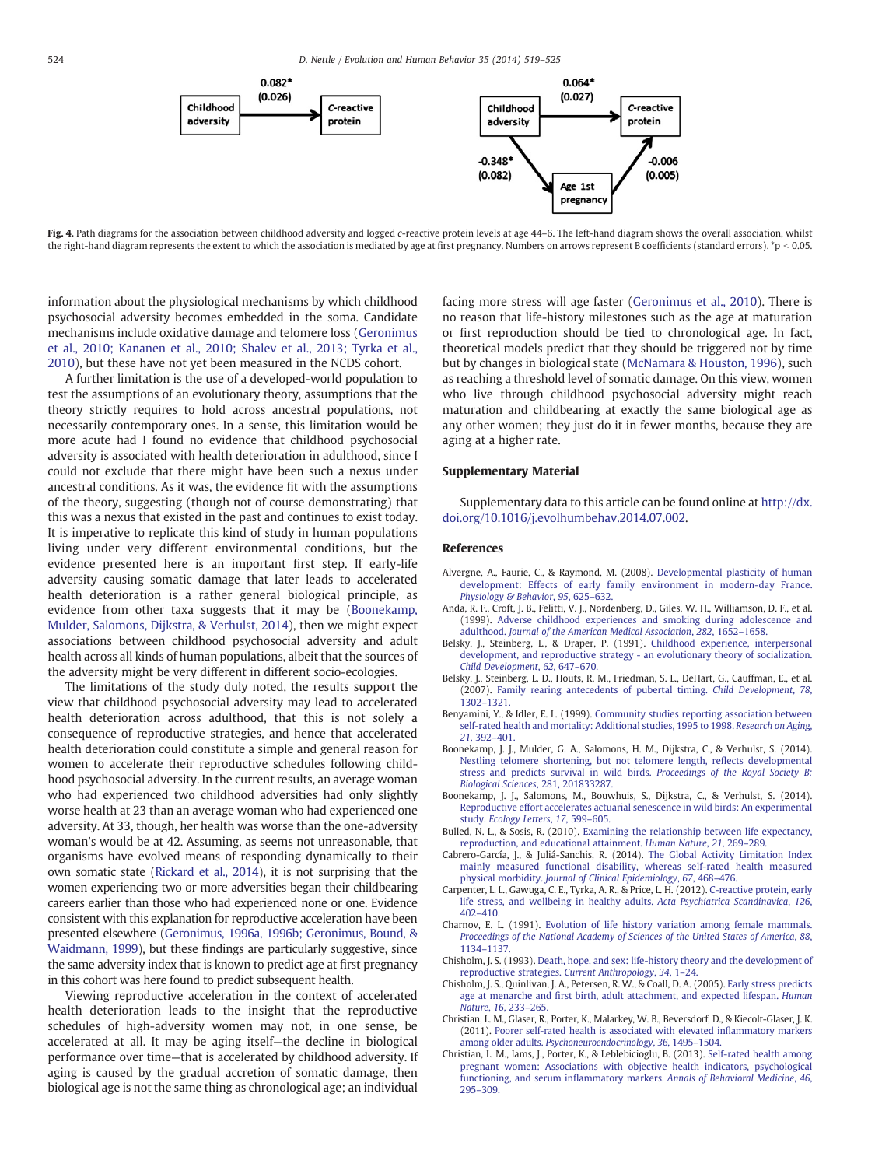<span id="page-5-0"></span>

Fig. 4. Path diagrams for the association between childhood adversity and logged c-reactive protein levels at age 44-6. The left-hand diagram shows the overall association, whilst the right-hand diagram represents the extent to which the association is mediated by age at first pregnancy. Numbers on arrows represent B coefficients (standard errors). \*p < 0.05.

information about the physiological mechanisms by which childhood psychosocial adversity becomes embedded in the soma. Candidate mechanisms include oxidative damage and telomere loss [\(Geronimus](#page-6-0) [et al., 2010; Kananen et al., 2010; Shalev et al., 2013; Tyrka et al.,](#page-6-0) [2010\)](#page-6-0), but these have not yet been measured in the NCDS cohort.

A further limitation is the use of a developed-world population to test the assumptions of an evolutionary theory, assumptions that the theory strictly requires to hold across ancestral populations, not necessarily contemporary ones. In a sense, this limitation would be more acute had I found no evidence that childhood psychosocial adversity is associated with health deterioration in adulthood, since I could not exclude that there might have been such a nexus under ancestral conditions. As it was, the evidence fit with the assumptions of the theory, suggesting (though not of course demonstrating) that this was a nexus that existed in the past and continues to exist today. It is imperative to replicate this kind of study in human populations living under very different environmental conditions, but the evidence presented here is an important first step. If early-life adversity causing somatic damage that later leads to accelerated health deterioration is a rather general biological principle, as evidence from other taxa suggests that it may be (Boonekamp, Mulder, Salomons, Dijkstra, & Verhulst, 2014), then we might expect associations between childhood psychosocial adversity and adult health across all kinds of human populations, albeit that the sources of the adversity might be very different in different socio-ecologies.

The limitations of the study duly noted, the results support the view that childhood psychosocial adversity may lead to accelerated health deterioration across adulthood, that this is not solely a consequence of reproductive strategies, and hence that accelerated health deterioration could constitute a simple and general reason for women to accelerate their reproductive schedules following childhood psychosocial adversity. In the current results, an average woman who had experienced two childhood adversities had only slightly worse health at 23 than an average woman who had experienced one adversity. At 33, though, her health was worse than the one-adversity woman's would be at 42. Assuming, as seems not unreasonable, that organisms have evolved means of responding dynamically to their own somatic state [\(Rickard et al., 2014\)](#page-6-0), it is not surprising that the women experiencing two or more adversities began their childbearing careers earlier than those who had experienced none or one. Evidence consistent with this explanation for reproductive acceleration have been presented elsewhere [\(Geronimus, 1996a, 1996b; Geronimus, Bound, &](#page-6-0) [Waidmann, 1999\)](#page-6-0), but these findings are particularly suggestive, since the same adversity index that is known to predict age at first pregnancy in this cohort was here found to predict subsequent health.

Viewing reproductive acceleration in the context of accelerated health deterioration leads to the insight that the reproductive schedules of high-adversity women may not, in one sense, be accelerated at all. It may be aging itself—the decline in biological performance over time—that is accelerated by childhood adversity. If aging is caused by the gradual accretion of somatic damage, then biological age is not the same thing as chronological age; an individual

facing more stress will age faster ([Geronimus et al., 2010\)](#page-6-0). There is no reason that life-history milestones such as the age at maturation or first reproduction should be tied to chronological age. In fact, theoretical models predict that they should be triggered not by time but by changes in biological state ([McNamara & Houston, 1996](#page-6-0)), such as reaching a threshold level of somatic damage. On this view, women who live through childhood psychosocial adversity might reach maturation and childbearing at exactly the same biological age as any other women; they just do it in fewer months, because they are aging at a higher rate.

#### Supplementary Material

Supplementary data to this article can be found online at [http://dx.](http://dx.doi.org/10.1016/j.evolhumbehav.2014.07.002) [doi.org/10.1016/j.evolhumbehav.2014.07.002](http://dx.doi.org/10.1016/j.evolhumbehav.2014.07.002).

#### References

- Alvergne, A., Faurie, C., & Raymond, M. (2008). [Developmental plasticity of human](http://refhub.elsevier.com/S1090-5138(14)00082-8/rf0005) [development: Effects of early family environment in modern-day France.](http://refhub.elsevier.com/S1090-5138(14)00082-8/rf0005) [Physiology & Behavior](http://refhub.elsevier.com/S1090-5138(14)00082-8/rf0005), 95, 625–632.
- Anda, R. F., Croft, J. B., Felitti, V. J., Nordenberg, D., Giles, W. H., Williamson, D. F., et al. (1999). [Adverse childhood experiences and smoking during adolescence and](http://refhub.elsevier.com/S1090-5138(14)00082-8/rf0010) adulthood. [Journal of the American Medical Association](http://refhub.elsevier.com/S1090-5138(14)00082-8/rf0010), 282, 1652–1658.
- Belsky, J., Steinberg, L., & Draper, P. (1991). [Childhood experience, interpersonal](http://refhub.elsevier.com/S1090-5138(14)00082-8/rf0015) [development, and reproductive strategy - an evolutionary theory of socialization.](http://refhub.elsevier.com/S1090-5138(14)00082-8/rf0015) [Child Development](http://refhub.elsevier.com/S1090-5138(14)00082-8/rf0015), 62, 647–670.
- Belsky, J., Steinberg, L. D., Houts, R. M., Friedman, S. L., DeHart, G., Cauffman, E., et al. (2007). [Family rearing antecedents of pubertal timing.](http://refhub.elsevier.com/S1090-5138(14)00082-8/rf0020) Child Development, 78, 1302–[1321.](http://refhub.elsevier.com/S1090-5138(14)00082-8/rf0020)
- Benyamini, Y., & Idler, E. L. (1999). [Community studies reporting association between](http://refhub.elsevier.com/S1090-5138(14)00082-8/rf0025) [self-rated health and mortality: Additional studies, 1995 to 1998.](http://refhub.elsevier.com/S1090-5138(14)00082-8/rf0025) Research on Aging, 21[, 392](http://refhub.elsevier.com/S1090-5138(14)00082-8/rf0025)–401.
- Boonekamp, J. J., Mulder, G. A., Salomons, H. M., Dijkstra, C., & Verhulst, S. (2014). [Nestling telomere shortening, but not telomere length, re](http://refhub.elsevier.com/S1090-5138(14)00082-8/rf0340)flects developmental [stress and predicts survival in wild birds.](http://refhub.elsevier.com/S1090-5138(14)00082-8/rf0340) Proceedings of the Royal Society B: Biological Sciences[, 281, 201833287.](http://refhub.elsevier.com/S1090-5138(14)00082-8/rf0340)
- Boonekamp, J. J., Salomons, M., Bouwhuis, S., Dijkstra, C., & Verhulst, S. (2014). [Reproductive effort accelerates actuarial senescence in wild birds: An experimental](http://refhub.elsevier.com/S1090-5138(14)00082-8/rf0035) study. [Ecology Letters](http://refhub.elsevier.com/S1090-5138(14)00082-8/rf0035), 17, 599–605.
- Bulled, N. L., & Sosis, R. (2010). [Examining the relationship between life expectancy,](http://refhub.elsevier.com/S1090-5138(14)00082-8/rf0040) [reproduction, and educational attainment.](http://refhub.elsevier.com/S1090-5138(14)00082-8/rf0040) Human Nature, 21, 269–289.
- Cabrero-García, J., & Juliá-Sanchis, R. (2014). [The Global Activity Limitation Index](http://refhub.elsevier.com/S1090-5138(14)00082-8/rf0345) [mainly measured functional disability, whereas self-rated health measured](http://refhub.elsevier.com/S1090-5138(14)00082-8/rf0345) physical morbidity. [Journal of Clinical Epidemiology](http://refhub.elsevier.com/S1090-5138(14)00082-8/rf0345), 67, 468–476.
- Carpenter, L. L., Gawuga, C. E., Tyrka, A. R., & Price, L. H. (2012). [C-reactive protein, early](http://refhub.elsevier.com/S1090-5138(14)00082-8/rf0050) [life stress, and wellbeing in healthy adults.](http://refhub.elsevier.com/S1090-5138(14)00082-8/rf0050) Acta Psychiatrica Scandinavica, 126, 402–[410.](http://refhub.elsevier.com/S1090-5138(14)00082-8/rf0050)
- Charnov, E. L. (1991). [Evolution of life history variation among female mammals.](http://refhub.elsevier.com/S1090-5138(14)00082-8/rf0350) [Proceedings of the National Academy of Sciences of the United States of America](http://refhub.elsevier.com/S1090-5138(14)00082-8/rf0350), 88, 1134–[1137.](http://refhub.elsevier.com/S1090-5138(14)00082-8/rf0350)
- Chisholm, J. S. (1993). [Death, hope, and sex: life-history theory and the development of](http://refhub.elsevier.com/S1090-5138(14)00082-8/rf0055) [reproductive strategies.](http://refhub.elsevier.com/S1090-5138(14)00082-8/rf0055) Current Anthropology, 34, 1–24.
- Chisholm, J. S., Quinlivan, J. A., Petersen, R. W., & Coall, D. A. (2005). [Early stress predicts](http://refhub.elsevier.com/S1090-5138(14)00082-8/rf0060) age at menarche and fi[rst birth, adult attachment, and expected lifespan.](http://refhub.elsevier.com/S1090-5138(14)00082-8/rf0060) Human [Nature](http://refhub.elsevier.com/S1090-5138(14)00082-8/rf0060), 16, 233–265.
- Christian, L. M., Glaser, R., Porter, K., Malarkey, W. B., Beversdorf, D., & Kiecolt-Glaser, J. K. (2011). [Poorer self-rated health is associated with elevated in](http://refhub.elsevier.com/S1090-5138(14)00082-8/rf0065)flammatory markers among older adults. [Psychoneuroendocrinology](http://refhub.elsevier.com/S1090-5138(14)00082-8/rf0065), 36, 1495–1504.
- Christian, L. M., Iams, J., Porter, K., & Leblebicioglu, B. (2013). [Self-rated health among](http://refhub.elsevier.com/S1090-5138(14)00082-8/rf0070) [pregnant women: Associations with objective health indicators, psychological](http://refhub.elsevier.com/S1090-5138(14)00082-8/rf0070) functioning, and serum inflammatory markers. [Annals of Behavioral Medicine](http://refhub.elsevier.com/S1090-5138(14)00082-8/rf0070), 46, 295–[309.](http://refhub.elsevier.com/S1090-5138(14)00082-8/rf0070)